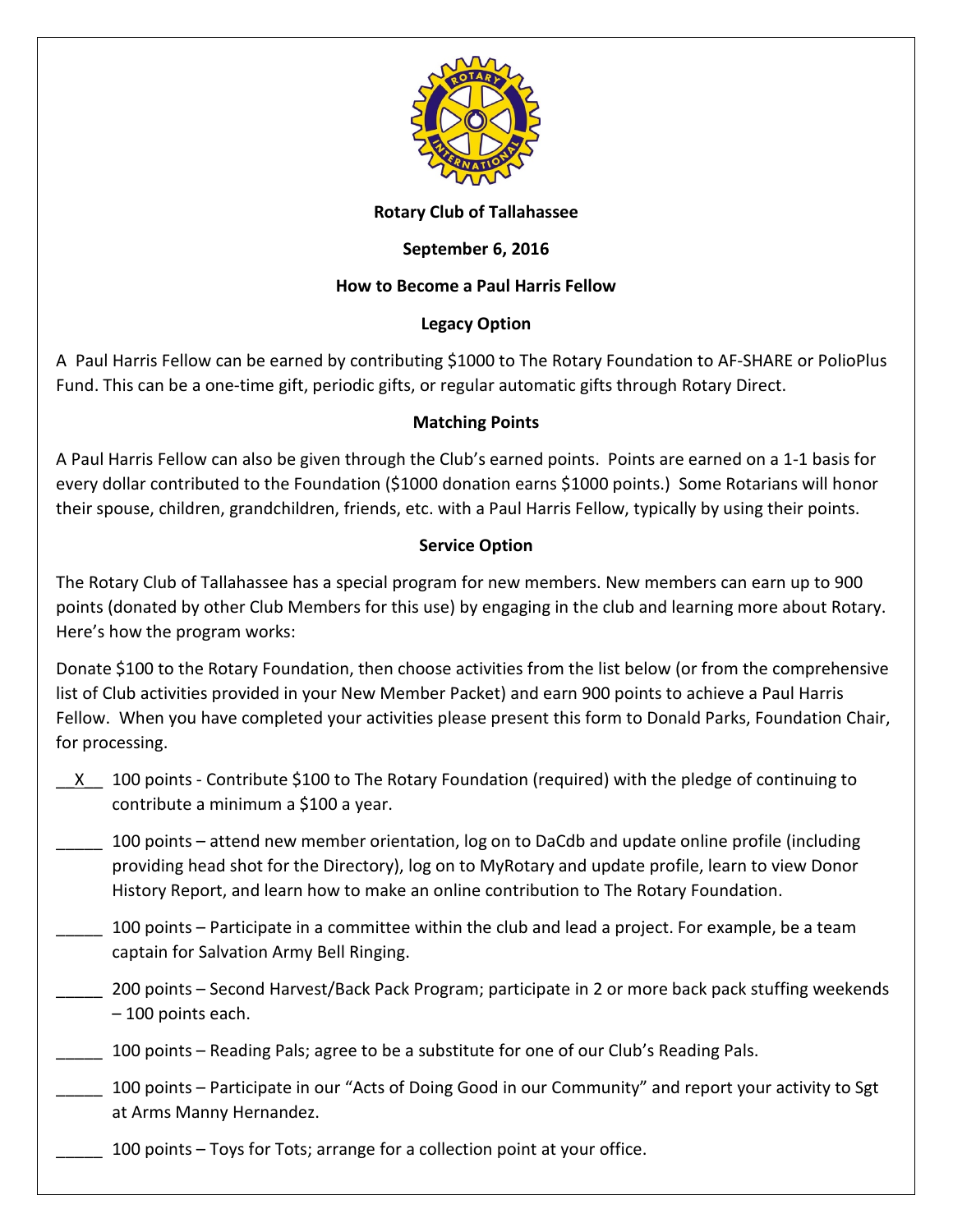

#### **Rotary Club of Tallahassee**

## **September 6, 2016**

# **How to Become a Paul Harris Fellow**

### **Legacy Option**

A Paul Harris Fellow can be earned by contributing \$1000 to The Rotary Foundation to AF-SHARE or PolioPlus Fund. This can be a one-time gift, periodic gifts, or regular automatic gifts through Rotary Direct.

### **Matching Points**

A Paul Harris Fellow can also be given through the Club's earned points. Points are earned on a 1-1 basis for every dollar contributed to the Foundation (\$1000 donation earns \$1000 points.) Some Rotarians will honor their spouse, children, grandchildren, friends, etc. with a Paul Harris Fellow, typically by using their points.

### **Service Option**

The Rotary Club of Tallahassee has a special program for new members. New members can earn up to 900 points (donated by other Club Members for this use) by engaging in the club and learning more about Rotary. Here's how the program works:

Donate \$100 to the Rotary Foundation, then choose activities from the list below (or from the comprehensive list of Club activities provided in your New Member Packet) and earn 900 points to achieve a Paul Harris Fellow. When you have completed your activities please present this form to Donald Parks, Foundation Chair, for processing.

\_\_X\_\_ 100 points - Contribute \$100 to The Rotary Foundation (required) with the pledge of continuing to contribute a minimum a \$100 a year.

\_\_\_\_\_ 100 points – attend new member orientation, log on to DaCdb and update online profile (including providing head shot for the Directory), log on to MyRotary and update profile, learn to view Donor History Report, and learn how to make an online contribution to The Rotary Foundation.

- \_\_\_\_\_ 100 points Participate in a committee within the club and lead a project. For example, be a team captain for Salvation Army Bell Ringing.
- \_\_\_\_\_ 200 points Second Harvest/Back Pack Program; participate in 2 or more back pack stuffing weekends – 100 points each.
- \_\_\_\_\_ 100 points Reading Pals; agree to be a substitute for one of our Club's Reading Pals.
- \_\_\_\_\_ 100 points Participate in our "Acts of Doing Good in our Community" and report your activity to Sgt at Arms Manny Hernandez.
	- 100 points Toys for Tots; arrange for a collection point at your office.